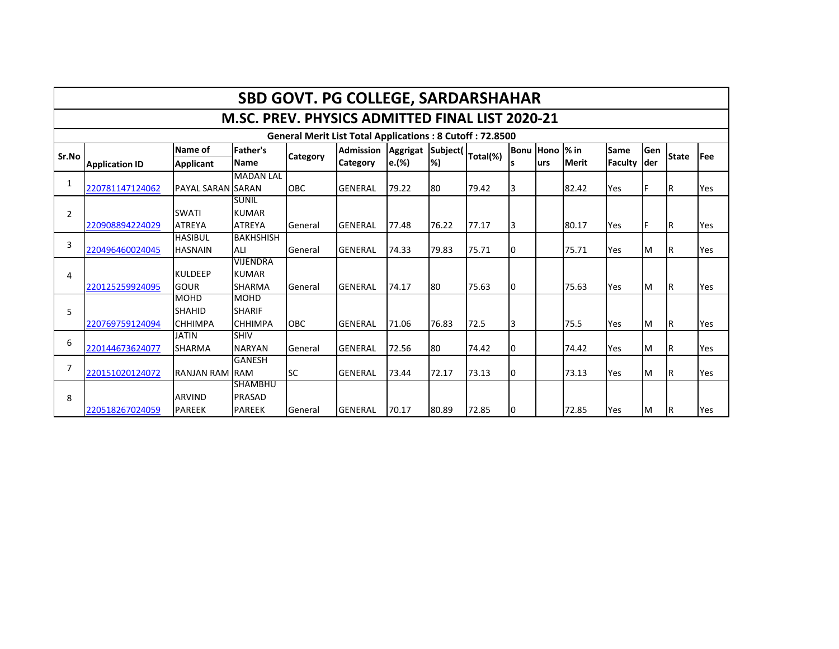|                | <b>SBD GOVT. PG COLLEGE, SARDARSHAHAR</b>                       |                          |                  |                 |                  |                 |           |          |    |                |              |             |      |              |     |
|----------------|-----------------------------------------------------------------|--------------------------|------------------|-----------------|------------------|-----------------|-----------|----------|----|----------------|--------------|-------------|------|--------------|-----|
|                | M.SC. PREV. PHYSICS ADMITTED FINAL LIST 2020-21                 |                          |                  |                 |                  |                 |           |          |    |                |              |             |      |              |     |
|                | <b>General Merit List Total Applications: 8 Cutoff: 72.8500</b> |                          |                  |                 |                  |                 |           |          |    |                |              |             |      |              |     |
| Sr.No          |                                                                 | Name of                  | Father's         |                 | <b>Admission</b> | <b>Aggrigat</b> | Subject(  |          |    | Bonu Hono % in |              | <b>Same</b> | Gen  | <b>State</b> | Fee |
|                | <b>Application ID</b>                                           | <b>Applicant</b>         | <b>Name</b>      | <b>Category</b> | <b>Category</b>  | e.(%)           | <b>%)</b> | Total(%) |    | lurs           | <b>Merit</b> | Faculty     | lder |              |     |
|                |                                                                 |                          | <b>MADAN LAL</b> |                 |                  |                 |           |          |    |                |              |             |      |              |     |
| 1              | 220781147124062                                                 | <b>PAYAL SARAN SARAN</b> |                  | <b>OBC</b>      | <b>GENERAL</b>   | 79.22           | 80        | 79.42    | IЗ |                | 82.42        | Yes         | F    | IR.          | Yes |
|                |                                                                 |                          | <b>SUNIL</b>     |                 |                  |                 |           |          |    |                |              |             |      |              |     |
| $\overline{2}$ |                                                                 | <b>SWATI</b>             | <b>KUMAR</b>     |                 |                  |                 |           |          |    |                |              |             |      |              |     |
|                | 220908894224029                                                 | <b>ATREYA</b>            | <b>ATREYA</b>    | General         | <b>GENERAL</b>   | 77.48           | 76.22     | 77.17    | I3 |                | 80.17        | Yes         | lF.  | IR.          | Yes |
| 3              |                                                                 | <b>HASIBUL</b>           | <b>BAKHSHISH</b> |                 |                  |                 |           |          |    |                |              |             |      |              |     |
|                | 220496460024045                                                 | <b>HASNAIN</b>           | ALI              | General         | <b>GENERAL</b>   | 74.33           | 79.83     | 75.71    | 10 |                | 75.71        | Yes         | M    | IR.          | Yes |
|                |                                                                 |                          | <b>VIJENDRA</b>  |                 |                  |                 |           |          |    |                |              |             |      |              |     |
| 4              |                                                                 | <b>KULDEEP</b>           | <b>KUMAR</b>     |                 |                  |                 |           |          |    |                |              |             |      |              |     |
|                | 220125259924095                                                 | <b>GOUR</b>              | <b>SHARMA</b>    | General         | <b>GENERAL</b>   | 74.17           | 180       | 75.63    | 10 |                | 75.63        | Yes         | M    | IR.          | Yes |
|                |                                                                 | <b>MOHD</b>              | <b>MOHD</b>      |                 |                  |                 |           |          |    |                |              |             |      |              |     |
| 5              |                                                                 | <b>SHAHID</b>            | <b>SHARIF</b>    |                 |                  |                 |           |          |    |                |              |             |      |              |     |
|                | 220769759124094                                                 | <b>CHHIMPA</b>           | <b>CHHIMPA</b>   | <b>OBC</b>      | <b>GENERAL</b>   | 71.06           | 76.83     | 72.5     | I3 |                | 75.5         | Yes         | M    | IR.          | Yes |
| 6              |                                                                 | <b>JATIN</b>             | <b>SHIV</b>      |                 |                  |                 |           |          |    |                |              |             |      |              |     |
|                | 220144673624077                                                 | <b>SHARMA</b>            | <b>NARYAN</b>    | General         | <b>GENERAL</b>   | 72.56           | 80        | 74.42    | ١O |                | 74.42        | Yes         | M    | ΙR           | Yes |
| $\overline{7}$ |                                                                 |                          | <b>GANESH</b>    |                 |                  |                 |           |          |    |                |              |             |      |              |     |
|                | 220151020124072                                                 | <b>RANJAN RAM RAM</b>    |                  | <b>SC</b>       | <b>GENERAL</b>   | 73.44           | 72.17     | 73.13    | I0 |                | 73.13        | Yes         | M    | ΙR           | Yes |
|                |                                                                 |                          | <b>SHAMBHU</b>   |                 |                  |                 |           |          |    |                |              |             |      |              |     |
| 8              |                                                                 | <b>ARVIND</b>            | PRASAD           |                 |                  |                 |           |          |    |                |              |             |      |              |     |
|                | 220518267024059                                                 | <b>PAREEK</b>            | <b>PAREEK</b>    | General         | <b>GENERAL</b>   | 70.17           | 80.89     | 72.85    | 10 |                | 72.85        | Yes         | M    | IR.          | Yes |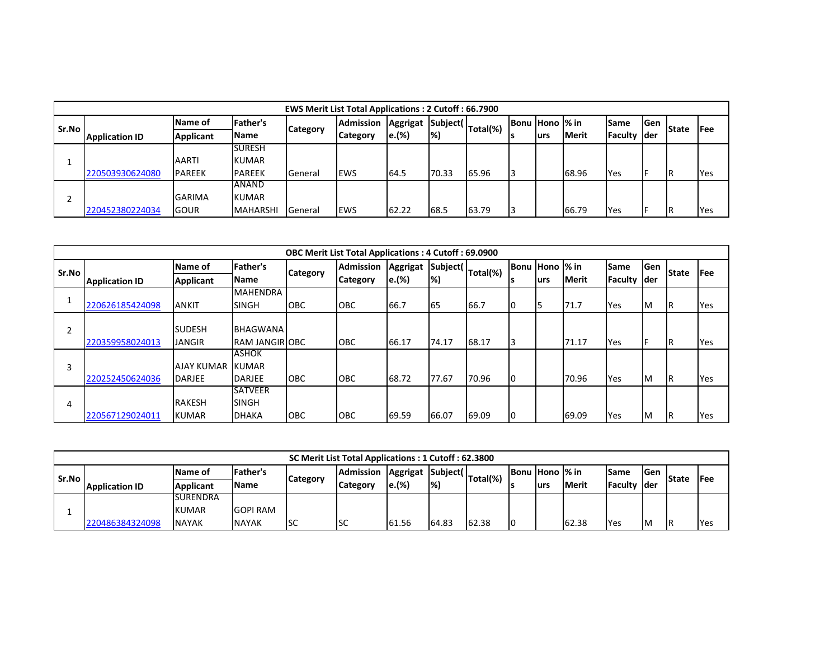|       | <b>EWS Merit List Total Applications: 2 Cutoff: 66.7900</b> |                  |                 |          |                                     |       |               |                                     |  |                 |              |             |      |              |            |
|-------|-------------------------------------------------------------|------------------|-----------------|----------|-------------------------------------|-------|---------------|-------------------------------------|--|-----------------|--------------|-------------|------|--------------|------------|
| Sr.No |                                                             | Name of          | <b>Father's</b> |          | <b>Admission</b><br><b>Category</b> |       |               | Aggrigat   Subject(   Total(%)   Br |  | Bonu Hono  % in |              | <b>Same</b> | lGen |              | lFee       |
|       | <b>Application ID</b>                                       | <b>Applicant</b> | <b>Name</b>     | Category |                                     | e.(%) | $\frac{1}{2}$ |                                     |  | lurs            | <b>Merit</b> | Faculty der |      | <b>State</b> |            |
|       |                                                             |                  | <b>SURESH</b>   |          |                                     |       |               |                                     |  |                 |              |             |      |              |            |
|       |                                                             | <b>AARTI</b>     | <b>KUMAR</b>    |          |                                     |       |               |                                     |  |                 |              |             |      |              |            |
|       | 220503930624080                                             | <b>PAREEK</b>    | <b>PAREEK</b>   | General  | <b>EWS</b>                          | 64.5  | 70.33         | 65.96                               |  |                 | 68.96        | <b>Yes</b>  |      | ΙR           | <b>Yes</b> |
|       |                                                             |                  | ANAND           |          |                                     |       |               |                                     |  |                 |              |             |      |              |            |
|       |                                                             | <b>GARIMA</b>    | KUMAR           |          |                                     |       |               |                                     |  |                 |              |             |      |              |            |
|       | 220452380224034                                             | <b>IGOUR</b>     | <b>MAHARSHI</b> | General  | lews                                | 62.22 | 68.5          | 63.79                               |  |                 | 66.79        | Yes         |      | ΙR           | Yes        |

|         | <b>OBC Merit List Total Applications: 4 Cutoff: 69.0900</b> |                         |                       |                 |                  |          |       |                                    |    |                 |              |                |      |              |             |
|---------|-------------------------------------------------------------|-------------------------|-----------------------|-----------------|------------------|----------|-------|------------------------------------|----|-----------------|--------------|----------------|------|--------------|-------------|
| l Sr.No |                                                             | Name of                 | Father's              | <b>Category</b> | <b>Admission</b> | Aggrigat |       | rc Subject( Total(%) <sup>1-</sup> |    | Bonu Hono  % in |              | Same           | Gen  | <b>State</b> | <b>IFee</b> |
|         | <b>Application ID</b>                                       | <b>Applicant</b>        | <b>Name</b>           |                 | <b>Category</b>  | e.(%)    | %)    |                                    |    | lurs            | <b>Merit</b> | <b>Faculty</b> | lder |              |             |
|         |                                                             |                         | <b>MAHENDRA</b>       |                 |                  |          |       |                                    |    |                 |              |                |      |              |             |
|         | 220626185424098                                             | <b>ANKIT</b>            | <b>SINGH</b>          | <b>OBC</b>      | <b>OBC</b>       | 66.7     | 65    | 66.7                               | 10 |                 | 71.7         | Yes            | ΙM   | ΙR           | Yes         |
|         |                                                             |                         |                       |                 |                  |          |       |                                    |    |                 |              |                |      |              |             |
|         |                                                             | <b>SUDESH</b>           | <b>BHAGWANA</b>       |                 |                  |          |       |                                    |    |                 |              |                |      |              |             |
|         | 220359958024013                                             | <b>JANGIR</b>           | <b>RAM JANGIR OBC</b> |                 | OBC              | 66.17    | 74.17 | 68.17                              |    |                 | 71.17        | Yes            |      | ΙR           | Yes         |
|         |                                                             |                         | <b>ASHOK</b>          |                 |                  |          |       |                                    |    |                 |              |                |      |              |             |
| 3       |                                                             | <b>AJAY KUMAR KUMAR</b> |                       |                 |                  |          |       |                                    |    |                 |              |                |      |              |             |
|         | 220252450624036                                             | <b>DARJEE</b>           | DARJEE                | <b>OBC</b>      | <b>OBC</b>       | 68.72    | 77.67 | 70.96                              | 10 |                 | 70.96        | Yes            | ΙM   | ΙR           | Yes         |
|         |                                                             |                         | <b>SATVEER</b>        |                 |                  |          |       |                                    |    |                 |              |                |      |              |             |
| 4       |                                                             | <b>RAKESH</b>           | <b>SINGH</b>          |                 |                  |          |       |                                    |    |                 |              |                |      |              |             |
|         | 220567129024011                                             | <b>KUMAR</b>            | <b>DHAKA</b>          | ІОВС            | <b>OBC</b>       | 69.59    | 66.07 | 69.09                              | 10 |                 | 69.09        | Yes            | M    | ΙR           | Yes         |

|       | SC Merit List Total Applications: 1 Cutoff: 62.3800 |                  |                 |                  |          |                              |                                               |       |                       |      |              |              |               |      |     |
|-------|-----------------------------------------------------|------------------|-----------------|------------------|----------|------------------------------|-----------------------------------------------|-------|-----------------------|------|--------------|--------------|---------------|------|-----|
| Sr.No |                                                     | Name of          | Father's        | <b>Admission</b> |          |                              | Juan   Aggrigat   Subject(   Total(%)   Buriu |       | <b>Bonu Hono % in</b> |      | Same         | lGen         | <b>IState</b> | lFee |     |
|       | <b>Application ID</b>                               | <b>Applicant</b> | <b>IName</b>    | <b>Category</b>  | Category | $\left e_{\cdot}(\%)\right $ | $\left  \% \right\rangle$                     |       |                       | lurs | <b>Merit</b> | Faculty Ider |               |      |     |
|       |                                                     | <b>SURENDRA</b>  |                 |                  |          |                              |                                               |       |                       |      |              |              |               |      |     |
|       |                                                     | <b>KUMAR</b>     | <b>GOPI RAM</b> |                  |          |                              |                                               |       |                       |      |              |              |               |      |     |
|       | 220486384324098                                     | <b>NAYAK</b>     | <b>NAYAK</b>    | <b>I</b> SC      | lsc      | 61.56                        | 64.83                                         | 62.38 | IО                    |      | 62.38        | Yes          | <b>IM</b>     | IR   | Yes |